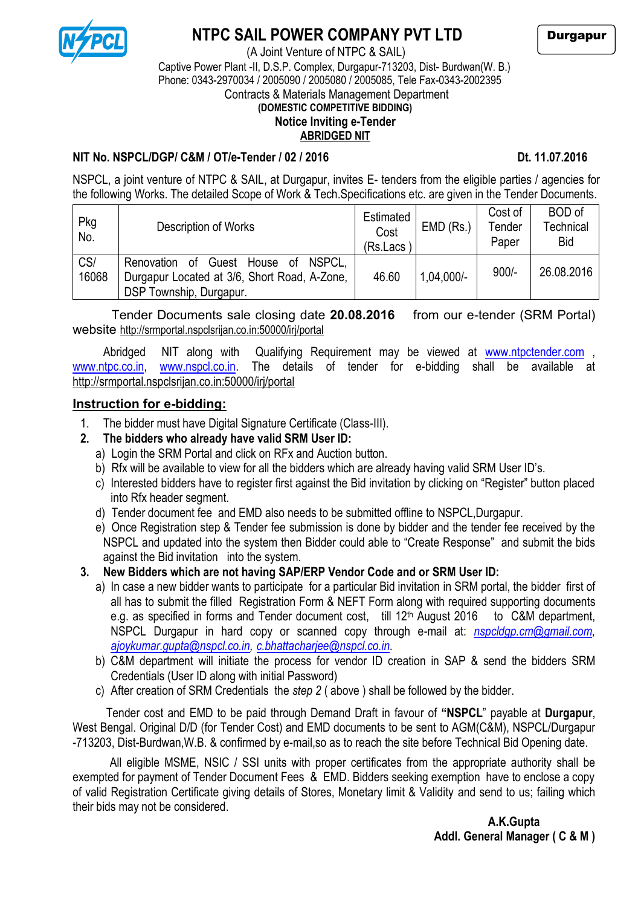

# **NTPC SAIL POWER COMPANY PVT LTD**

 (A Joint Venture of NTPC & SAIL) Captive Power Plant -II, D.S.P. Complex, Durgapur-713203, Dist- Burdwan(W. B.) Phone: 0343-2970034 / 2005090 / 2005080 / 2005085, Tele Fax-0343-2002395 Contracts & Materials Management Department  **(DOMESTIC COMPETITIVE BIDDING)**

# **Notice Inviting e-Tender**

# **ABRIDGED NIT**

**NIT No. NSPCL/DGP/ C&M / OT/e-Tender / 02 / 2016 Decay of the Contract of the Dt. 11.07.2016** 

NSPCL, a joint venture of NTPC & SAIL, at Durgapur, invites E- tenders from the eligible parties / agencies for the following Works. The detailed Scope of Work & Tech.Specifications etc. are given in the Tender Documents.

| Pkg<br>No.   | Description of Works                                                                                                     | Estimated<br>Cost<br>(Rs.Lacs | $EMD$ (Rs.)  | Cost of<br>Tender<br>Paper | <b>BOD</b> of<br>Technical<br><b>Bid</b> |
|--------------|--------------------------------------------------------------------------------------------------------------------------|-------------------------------|--------------|----------------------------|------------------------------------------|
| CS/<br>16068 | NSPCL.<br>Guest House of<br>Renovation<br>_of<br>Durgapur Located at 3/6, Short Road, A-Zone,<br>DSP Township, Durgapur. | 46.60                         | $1,04,000/-$ | $900/-$                    | 26.08.2016                               |

Tender Documents sale closing date **20.08.2016** from our e-tender (SRM Portal) website http://srmportal.nspclsrijan.co.in:50000/irj/portal

Abridged NIT along with Qualifying Requirement may be viewed at [www.ntpctender.com](http://www.ntpctender.com/) [www.ntpc.co.in,](http://www.ntpc.co.in/) [www.nspcl.co.in.](http://www.nspcl.co.in/) The details of tender for e-bidding shall be available at http://srmportal.nspclsrijan.co.in:50000/irj/portal

## **Instruction for e-bidding:**

- 1. The bidder must have Digital Signature Certificate (Class-III).
- **2. The bidders who already have valid SRM User ID:** 
	- a) Login the SRM Portal and click on RFx and Auction button.
	- b) Rfx will be available to view for all the bidders which are already having valid SRM User ID's.
	- c) Interested bidders have to register first against the Bid invitation by clicking on "Register" button placed into Rfx header segment.
	- d) Tender document fee and EMD also needs to be submitted offline to NSPCL,Durgapur.
	- e) Once Registration step & Tender fee submission is done by bidder and the tender fee received by the NSPCL and updated into the system then Bidder could able to "Create Response" and submit the bids against the Bid invitation into the system.

## **3. New Bidders which are not having SAP/ERP Vendor Code and or SRM User ID:**

- a) In case a new bidder wants to participate for a particular Bid invitation in SRM portal, the bidder first of all has to submit the filled Registration Form & NEFT Form along with required supporting documents e.g. as specified in forms and Tender document cost, till 12<sup>th</sup> August 2016 to C&M department, NSPCL Durgapur in hard copy or scanned copy through e-mail at: *nspcldgp.cm@gmail.com, ajoykumar.gupta@nspcl.co.in, c.bhattacharjee@nspcl.co.in.*
- b) C&M department will initiate the process for vendor ID creation in SAP & send the bidders SRM Credentials (User ID along with initial Password)
- c) After creation of SRM Credentials the *step 2* ( above ) shall be followed by the bidder.

 Tender cost and EMD to be paid through Demand Draft in favour of **"NSPCL**" payable at **Durgapur**, West Bengal. Original D/D (for Tender Cost) and EMD documents to be sent to AGM(C&M), NSPCL/Durgapur -713203, Dist-Burdwan,W.B. & confirmed by e-mail,so as to reach the site before Technical Bid Opening date.

All eligible MSME, NSIC / SSI units with proper certificates from the appropriate authority shall be exempted for payment of Tender Document Fees & EMD. Bidders seeking exemption have to enclose a copy of valid Registration Certificate giving details of Stores, Monetary limit & Validity and send to us; failing which their bids may not be considered.